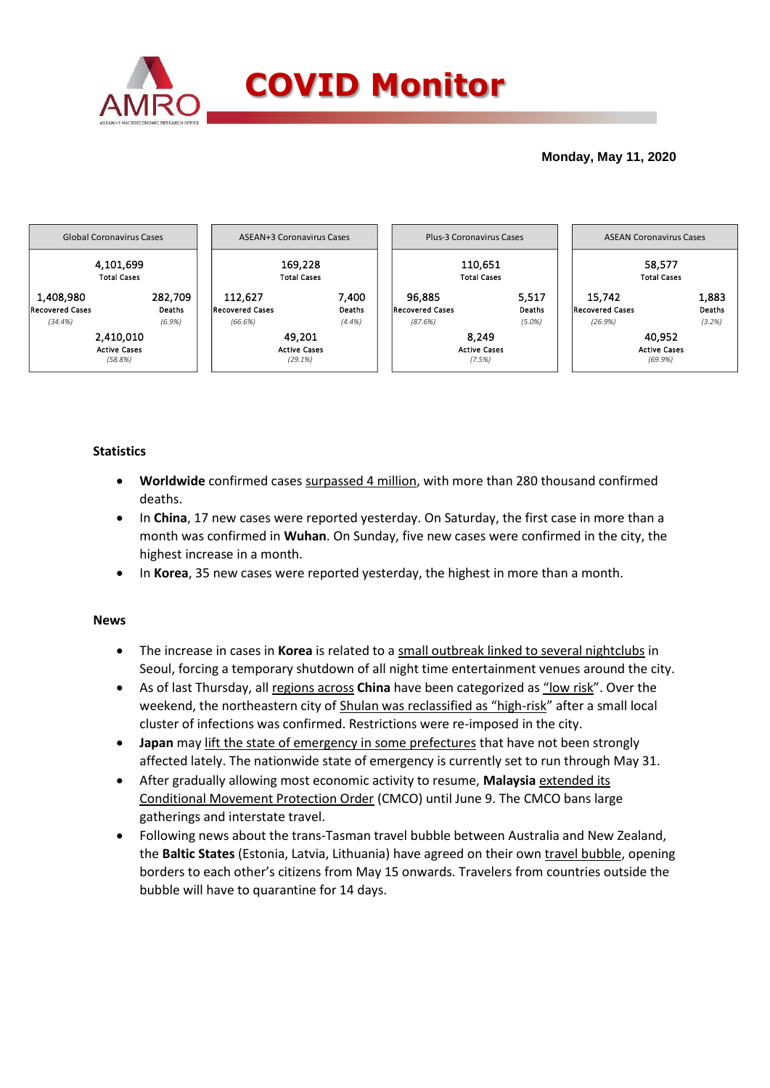

### **Monday, May 11, 2020**



## **Statistics**

- **Worldwide** confirmed cases surpassed 4 million, with more than 280 thousand confirmed deaths.
- In **China**, 17 new cases were reported yesterday. On Saturday, the first case in more than a month was confirmed in **Wuhan**. On Sunday, five new cases were confirmed in the city, the highest increase in a month.
- In **Korea**, 35 new cases were reported yesterday, the highest in more than a month.

#### **News**

- The increase in cases in **Korea** is related to a small outbreak linked to several nightclubs in Seoul, forcing a temporary shutdown of all night time entertainment venues around the city.
- As of last Thursday, all regions across **China** have been categorized as "low risk". Over the weekend, the northeastern city of Shulan was reclassified as "high-risk" after a small local cluster of infections was confirmed. Restrictions were re-imposed in the city.
- **Japan** may lift the state of emergency in some prefectures that have not been strongly affected lately. The nationwide state of emergency is currently set to run through May 31.
- After gradually allowing most economic activity to resume, **Malaysia** extended its Conditional Movement Protection Order (CMCO) until June 9. The CMCO bans large gatherings and interstate travel.
- Following news about the trans-Tasman travel bubble between Australia and New Zealand, the **Baltic States** (Estonia, Latvia, Lithuania) have agreed on their own travel bubble, opening borders to each other's citizens from May 15 onwards. Travelers from countries outside the bubble will have to quarantine for 14 days.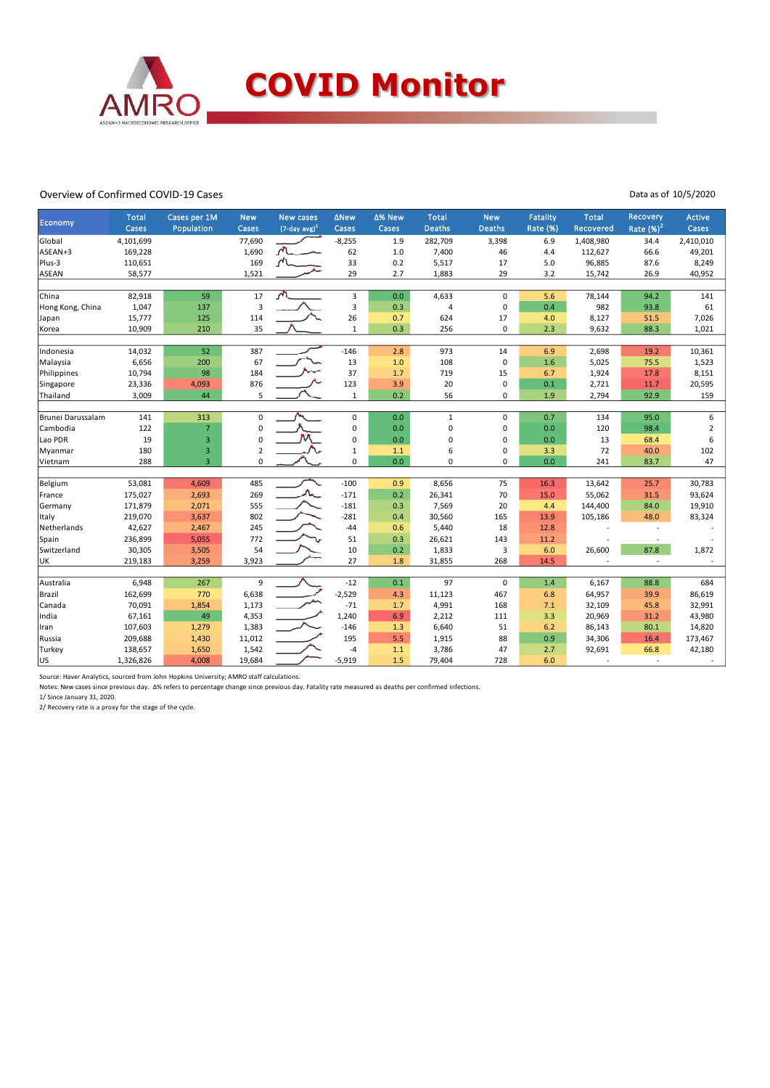

#### Overview of Confirmed COVID-19 Cases

Data as of 10/5/2020

| Economy           | <b>Total</b> | Cases per 1M            | <b>New</b>     | <b>New cases</b>            | ∆New                    | ∆% New | <b>Total</b>  | <b>New</b>    | <b>Fatality</b> | <b>Total</b> | Recovery    | Active         |
|-------------------|--------------|-------------------------|----------------|-----------------------------|-------------------------|--------|---------------|---------------|-----------------|--------------|-------------|----------------|
|                   | Cases        | Population              | Cases          | $(7$ -day avg) <sup>1</sup> | Cases                   | Cases  | <b>Deaths</b> | <b>Deaths</b> | Rate (%)        | Recovered    | Rate $(%)2$ | Cases          |
| Global            | 4,101,699    |                         | 77,690         |                             | $-8,255$                | 1.9    | 282,709       | 3,398         | 6.9             | 1,408,980    | 34.4        | 2,410,010      |
| ASEAN+3           | 169,228      |                         | 1,690          |                             | 62                      | 1.0    | 7,400         | 46            | 4.4             | 112,627      | 66.6        | 49,201         |
| Plus-3            | 110,651      |                         | 169            |                             | 33                      | 0.2    | 5,517         | 17            | 5.0             | 96,885       | 87.6        | 8,249          |
| ASEAN             | 58,577       |                         | 1,521          |                             | 29                      | 2.7    | 1,883         | 29            | 3.2             | 15,742       | 26.9        | 40,952         |
|                   |              |                         |                |                             |                         |        |               |               |                 |              |             |                |
| China             | 82,918       | 59                      | 17             | اللهم                       | $\overline{\mathbf{3}}$ | 0.0    | 4,633         | $\mathbf 0$   | 5.6             | 78,144       | 94.2        | 141            |
| Hong Kong, China  | 1,047        | 137                     | 3              |                             | 3                       | 0.3    | 4             | 0             | 0.4             | 982          | 93.8        | 61             |
| Japan             | 15,777       | 125                     | 114            |                             | 26                      | 0.7    | 624           | 17            | 4.0             | 8,127        | 51.5        | 7,026          |
| Korea             | 10,909       | 210                     | 35             |                             | $\mathbf 1$             | 0.3    | 256           | $\mathbf 0$   | 2.3             | 9,632        | 88.3        | 1,021          |
|                   |              |                         |                |                             |                         |        |               |               |                 |              |             |                |
| Indonesia         | 14,032       | 52                      | 387            |                             | $-146$                  | 2.8    | 973           | 14            | 6.9             | 2,698        | 19.2        | 10,361         |
| Malaysia          | 6,656        | 200                     | 67             |                             | 13                      | 1.0    | 108           | $\mathbf 0$   | 1.6             | 5,025        | 75.5        | 1,523          |
| Philippines       | 10,794       | 98                      | 184            |                             | 37                      | 1.7    | 719           | 15            | 6.7             | 1,924        | 17.8        | 8,151          |
| Singapore         | 23,336       | 4,093                   | 876            |                             | 123                     | 3.9    | 20            | $\mathbf 0$   | 0.1             | 2,721        | 11.7        | 20,595         |
| Thailand          | 3,009        | 44                      | 5              |                             | $\mathbf 1$             | 0.2    | 56            | $\mathbf 0$   | 1.9             | 2,794        | 92.9        | 159            |
|                   |              |                         |                |                             |                         |        |               |               |                 |              |             |                |
| Brunei Darussalam | 141          | 313                     | $\mathbf 0$    |                             | $\mathbf 0$             | 0.0    | $\mathbf{1}$  | $\mathbf 0$   | 0.7             | 134          | 95.0        | 6              |
| Cambodia          | 122          | $\overline{7}$          | 0              |                             | 0                       | 0.0    | 0             | $\mathbf 0$   | 0.0             | 120          | 98.4        | $\overline{2}$ |
| Lao PDR           | 19           | $\overline{3}$          | $\mathbf 0$    |                             | 0                       | 0.0    | 0             | $\mathbf 0$   | 0.0             | 13           | 68.4        | 6              |
| Myanmar           | 180          | $\overline{\mathbf{3}}$ | $\overline{2}$ |                             | $\mathbf 1$             | 1.1    | 6             | $\mathbf 0$   | 3.3             | 72           | 40.0        | 102            |
| Vietnam           | 288          | $\overline{3}$          | $\mathbf 0$    |                             | $\mathbf 0$             | 0.0    | 0             | $\Omega$      | 0.0             | 241          | 83.7        | 47             |
|                   |              |                         |                |                             |                         |        |               |               |                 |              |             |                |
| Belgium           | 53,081       | 4,609                   | 485            |                             | $-100$                  | 0.9    | 8,656         | 75            | 16.3            | 13,642       | 25.7        | 30,783         |
| France            | 175,027      | 2,693                   | 269            | $\Lambda$                   | $-171$                  | 0.2    | 26,341        | 70            | 15.0            | 55,062       | 31.5        | 93,624         |
| Germany           | 171,879      | 2,071                   | 555            |                             | $-181$                  | 0.3    | 7,569         | 20            | 4.4             | 144,400      | 84.0        | 19,910         |
| Italy             | 219,070      | 3,637                   | 802            |                             | $-281$                  | 0.4    | 30,560        | 165           | 13.9            | 105,186      | 48.0        | 83,324         |
| Netherlands       | 42,627       | 2,467                   | 245            |                             | $-44$                   | 0.6    | 5,440         | 18            | 12.8            |              |             |                |
| Spain             | 236,899      | 5,055                   | 772            |                             | 51                      | 0.3    | 26,621        | 143           | 11.2            |              |             |                |
| Switzerland       | 30,305       | 3,505                   | 54             |                             | 10                      | 0.2    | 1,833         | 3             | 6.0             | 26,600       | 87.8        | 1,872          |
| UK                | 219,183      | 3,259                   | 3,923          |                             | 27                      | 1.8    | 31,855        | 268           | 14.5            |              |             |                |
|                   |              |                         |                |                             |                         |        |               |               |                 |              |             |                |
| Australia         | 6,948        | 267                     | 9              |                             | $-12$                   | 0.1    | 97            | $\Omega$      | 1.4             | 6,167        | 88.8        | 684            |
| Brazil            | 162,699      | 770                     | 6,638          |                             | $-2,529$                | 4.3    | 11,123        | 467           | 6.8             | 64,957       | 39.9        | 86,619         |
| Canada            | 70,091       | 1,854                   | 1,173          |                             | $-71$                   | 1.7    | 4,991         | 168           | 7.1             | 32,109       | 45.8        | 32,991         |
| India             | 67,161       | 49                      | 4,353          |                             | 1,240                   | 6.9    | 2,212         | 111           | 3.3             | 20,969       | 31.2        | 43,980         |
| Iran              | 107,603      | 1,279                   | 1,383          |                             | $-146$                  | 1.3    | 6,640         | 51            | 6.2             | 86,143       | 80.1        | 14,820         |
| Russia            | 209,688      | 1,430                   | 11,012         |                             | 195                     | 5.5    | 1,915         | 88            | 0.9             | 34,306       | 16.4        | 173,467        |
| Turkey            | 138,657      | 1,650                   | 1,542          |                             | $-4$                    | 1.1    | 3,786         | 47            | 2.7             | 92,691       | 66.8        | 42,180         |
| lus               | 1,326,826    | 4,008                   | 19,684         |                             | $-5,919$                | 1.5    | 79,404        | 728           | 6.0             |              | L.          |                |

Source: Haver Analytics, sourced from John Hopkins University; AMRO staff calculations.<br>Notes: New cases since previous day. ∆% refers to percentage change since previous day. Fatality rate measured as deaths per confirme

1/ Since January 31, 2020.

2/ Recovery rate is a proxy for the stage of the cycle.